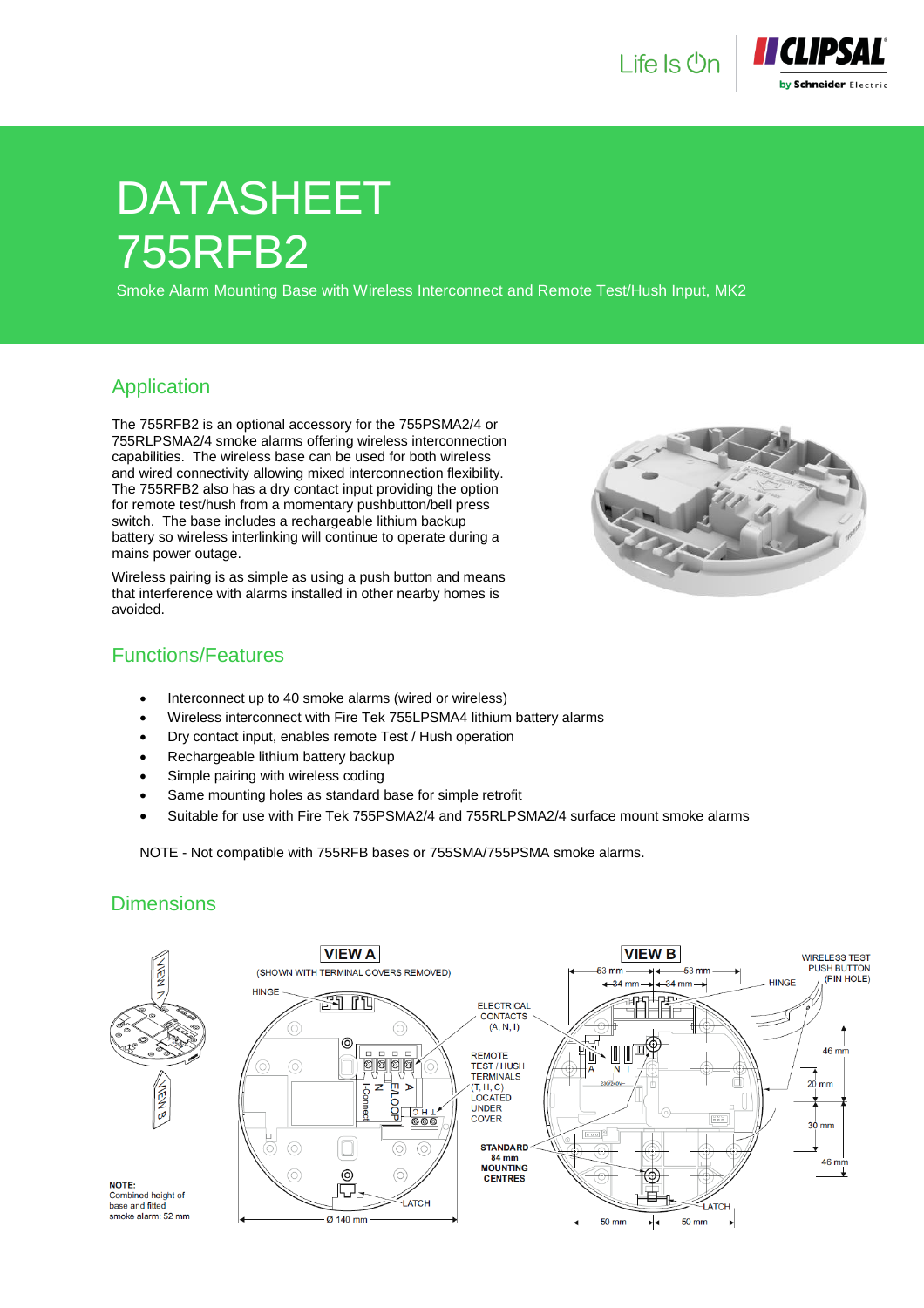



# DATASHEET 755RFB2

Smoke Alarm Mounting Base with Wireless Interconnect and Remote Test/Hush Input, MK2

#### Application

The 755RFB2 is an optional accessory for the 755PSMA2/4 or 755RLPSMA2/4 smoke alarms offering wireless interconnection capabilities. The wireless base can be used for both wireless and wired connectivity allowing mixed interconnection flexibility. The 755RFB2 also has a dry contact input providing the option for remote test/hush from a momentary pushbutton/bell press switch. The base includes a rechargeable lithium backup battery so wireless interlinking will continue to operate during a mains power outage.

Wireless pairing is as simple as using a push button and means that interference with alarms installed in other nearby homes is avoided.



#### Functions/Features

- Interconnect up to 40 smoke alarms (wired or wireless)
- Wireless interconnect with Fire Tek 755LPSMA4 lithium battery alarms
- Dry contact input, enables remote Test / Hush operation
- Rechargeable lithium battery backup
- Simple pairing with wireless coding
- Same mounting holes as standard base for simple retrofit
- Suitable for use with Fire Tek 755PSMA2/4 and 755RLPSMA2/4 surface mount smoke alarms

NOTE - Not compatible with 755RFB bases or 755SMA/755PSMA smoke alarms.

## **Dimensions**